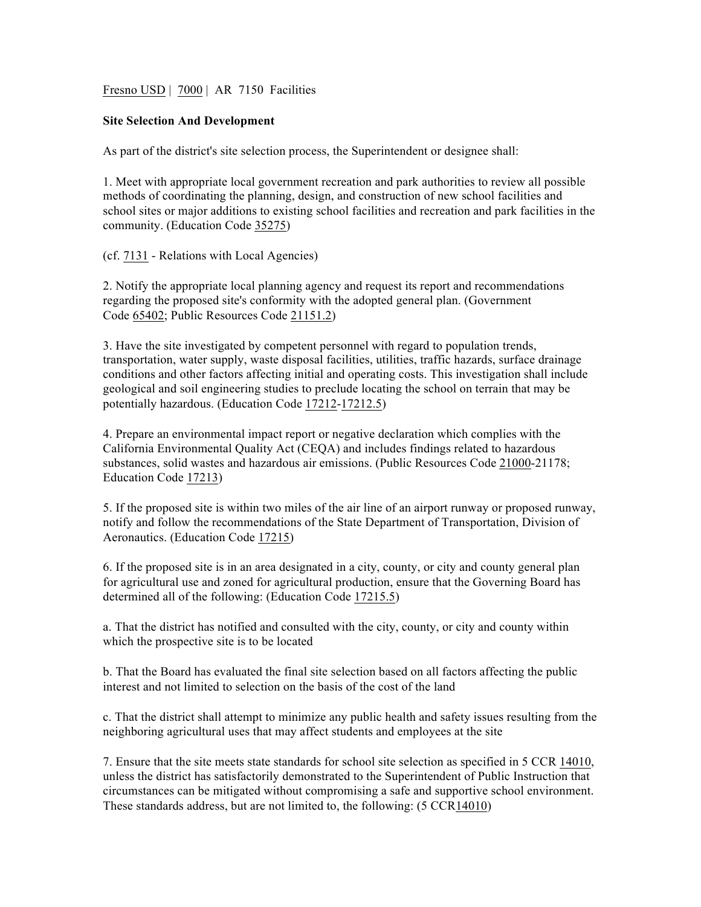Fresno USD | 7000 | AR 7150 Facilities

## **Site Selection And Development**

As part of the district's site selection process, the Superintendent or designee shall:

1. Meet with appropriate local government recreation and park authorities to review all possible methods of coordinating the planning, design, and construction of new school facilities and school sites or major additions to existing school facilities and recreation and park facilities in the community. (Education Code 35275)

(cf. 7131 - Relations with Local Agencies)

2. Notify the appropriate local planning agency and request its report and recommendations regarding the proposed site's conformity with the adopted general plan. (Government Code 65402; Public Resources Code 21151.2)

3. Have the site investigated by competent personnel with regard to population trends, transportation, water supply, waste disposal facilities, utilities, traffic hazards, surface drainage conditions and other factors affecting initial and operating costs. This investigation shall include geological and soil engineering studies to preclude locating the school on terrain that may be potentially hazardous. (Education Code 17212-17212.5)

4. Prepare an environmental impact report or negative declaration which complies with the California Environmental Quality Act (CEQA) and includes findings related to hazardous substances, solid wastes and hazardous air emissions. (Public Resources Code 21000-21178; Education Code 17213)

5. If the proposed site is within two miles of the air line of an airport runway or proposed runway, notify and follow the recommendations of the State Department of Transportation, Division of Aeronautics. (Education Code 17215)

6. If the proposed site is in an area designated in a city, county, or city and county general plan for agricultural use and zoned for agricultural production, ensure that the Governing Board has determined all of the following: (Education Code 17215.5)

a. That the district has notified and consulted with the city, county, or city and county within which the prospective site is to be located

b. That the Board has evaluated the final site selection based on all factors affecting the public interest and not limited to selection on the basis of the cost of the land

c. That the district shall attempt to minimize any public health and safety issues resulting from the neighboring agricultural uses that may affect students and employees at the site

7. Ensure that the site meets state standards for school site selection as specified in 5 CCR 14010, unless the district has satisfactorily demonstrated to the Superintendent of Public Instruction that circumstances can be mitigated without compromising a safe and supportive school environment. These standards address, but are not limited to, the following: (5 CCR14010)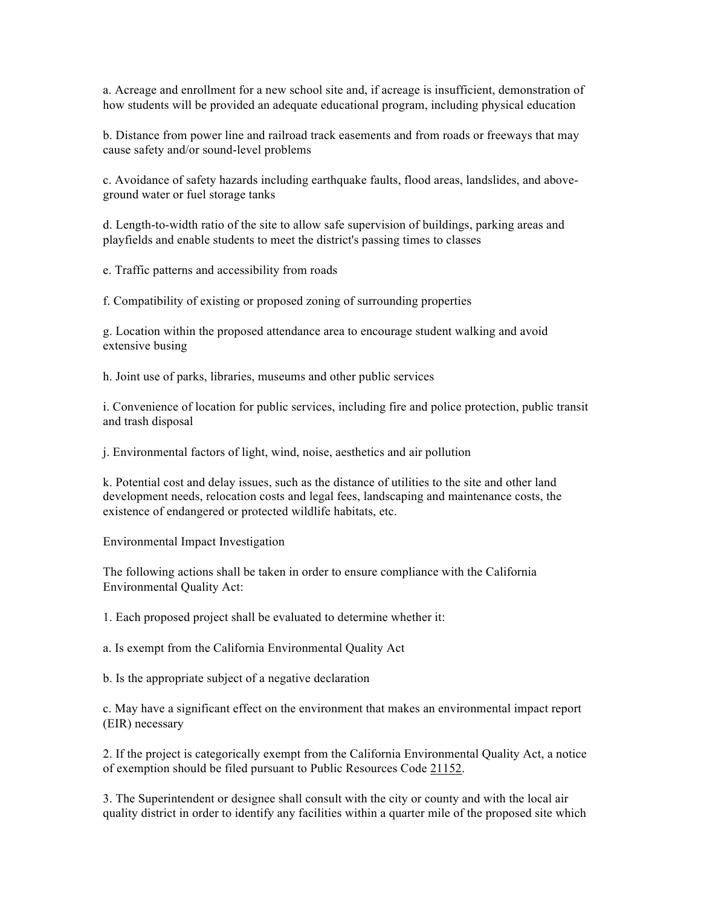a. Acreage and enrollment for a new school site and, if acreage is insufficient, demonstration of how students will be provided an adequate educational program, including physical education

b. Distance from power line and railroad track easements and from roads or freeways that may cause safety and/or sound-level problems

c. Avoidance of safety hazards including earthquake faults, flood areas, landslides, and aboveground water or fuel storage tanks

d. Length-to-width ratio of the site to allow safe supervision of buildings, parking areas and playfields and enable students to meet the district's passing times to classes

e. Traffic patterns and accessibility from roads

f. Compatibility of existing or proposed zoning of surrounding properties

g. Location within the proposed attendance area to encourage student walking and avoid extensive busing

h. Joint use of parks, libraries, museums and other public services

i. Convenience of location for public services, including fire and police protection, public transit and trash disposal

j. Environmental factors of light, wind, noise, aesthetics and air pollution

k. Potential cost and delay issues, such as the distance of utilities to the site and other land development needs, relocation costs and legal fees, landscaping and maintenance costs, the existence of endangered or protected wildlife habitats, etc.

Environmental Impact Investigation

The following actions shall be taken in order to ensure compliance with the California Environmental Quality Act:

1. Each proposed project shall be evaluated to determine whether it:

a. Is exempt from the California Environmental Quality Act

b. Is the appropriate subject of a negative declaration

c. May have a significant effect on the environment that makes an environmental impact report (EIR) necessary

2. If the project is categorically exempt from the California Environmental Quality Act, a notice of exemption should be filed pursuant to Public Resources Code 21152.

3. The Superintendent or designee shall consult with the city or county and with the local air quality district in order to identify any facilities within a quarter mile of the proposed site which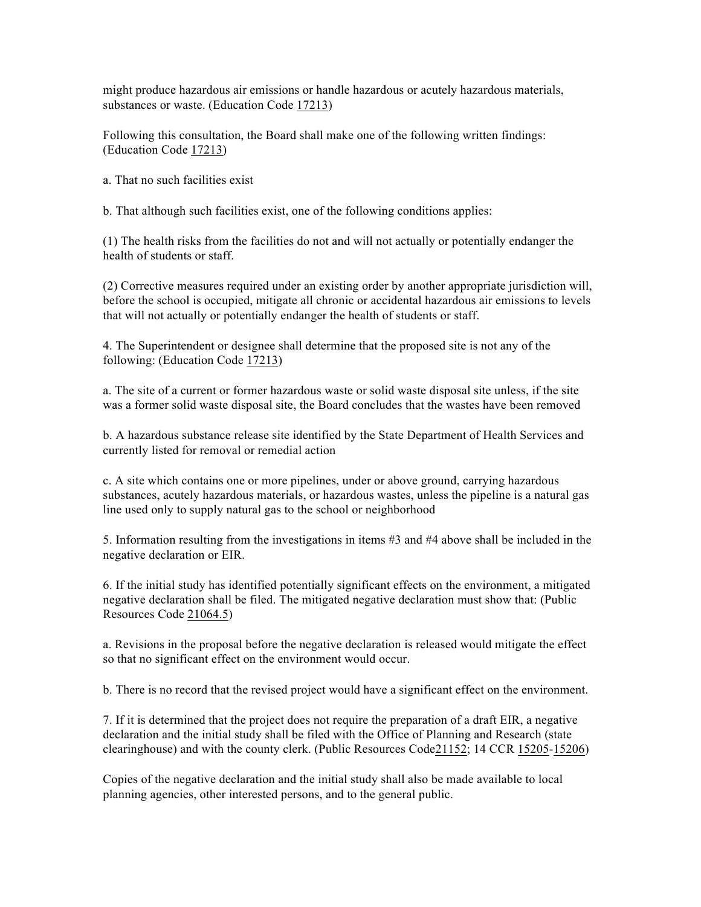might produce hazardous air emissions or handle hazardous or acutely hazardous materials, substances or waste. (Education Code 17213)

Following this consultation, the Board shall make one of the following written findings: (Education Code 17213)

a. That no such facilities exist

b. That although such facilities exist, one of the following conditions applies:

(1) The health risks from the facilities do not and will not actually or potentially endanger the health of students or staff.

(2) Corrective measures required under an existing order by another appropriate jurisdiction will, before the school is occupied, mitigate all chronic or accidental hazardous air emissions to levels that will not actually or potentially endanger the health of students or staff.

4. The Superintendent or designee shall determine that the proposed site is not any of the following: (Education Code 17213)

a. The site of a current or former hazardous waste or solid waste disposal site unless, if the site was a former solid waste disposal site, the Board concludes that the wastes have been removed

b. A hazardous substance release site identified by the State Department of Health Services and currently listed for removal or remedial action

c. A site which contains one or more pipelines, under or above ground, carrying hazardous substances, acutely hazardous materials, or hazardous wastes, unless the pipeline is a natural gas line used only to supply natural gas to the school or neighborhood

5. Information resulting from the investigations in items #3 and #4 above shall be included in the negative declaration or EIR.

6. If the initial study has identified potentially significant effects on the environment, a mitigated negative declaration shall be filed. The mitigated negative declaration must show that: (Public Resources Code 21064.5)

a. Revisions in the proposal before the negative declaration is released would mitigate the effect so that no significant effect on the environment would occur.

b. There is no record that the revised project would have a significant effect on the environment.

7. If it is determined that the project does not require the preparation of a draft EIR, a negative declaration and the initial study shall be filed with the Office of Planning and Research (state clearinghouse) and with the county clerk. (Public Resources Code21152; 14 CCR 15205-15206)

Copies of the negative declaration and the initial study shall also be made available to local planning agencies, other interested persons, and to the general public.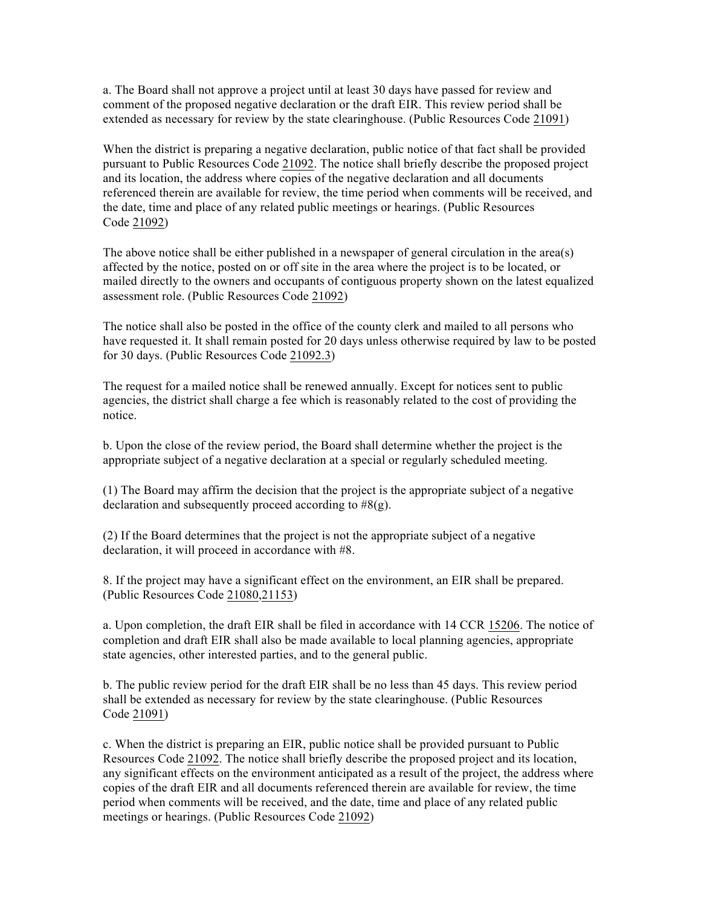a. The Board shall not approve a project until at least 30 days have passed for review and comment of the proposed negative declaration or the draft EIR. This review period shall be extended as necessary for review by the state clearinghouse. (Public Resources Code 21091)

When the district is preparing a negative declaration, public notice of that fact shall be provided pursuant to Public Resources Code 21092. The notice shall briefly describe the proposed project and its location, the address where copies of the negative declaration and all documents referenced therein are available for review, the time period when comments will be received, and the date, time and place of any related public meetings or hearings. (Public Resources Code 21092)

The above notice shall be either published in a newspaper of general circulation in the area(s) affected by the notice, posted on or off site in the area where the project is to be located, or mailed directly to the owners and occupants of contiguous property shown on the latest equalized assessment role. (Public Resources Code 21092)

The notice shall also be posted in the office of the county clerk and mailed to all persons who have requested it. It shall remain posted for 20 days unless otherwise required by law to be posted for 30 days. (Public Resources Code 21092.3)

The request for a mailed notice shall be renewed annually. Except for notices sent to public agencies, the district shall charge a fee which is reasonably related to the cost of providing the notice.

b. Upon the close of the review period, the Board shall determine whether the project is the appropriate subject of a negative declaration at a special or regularly scheduled meeting.

(1) The Board may affirm the decision that the project is the appropriate subject of a negative declaration and subsequently proceed according to  $#8(g)$ .

(2) If the Board determines that the project is not the appropriate subject of a negative declaration, it will proceed in accordance with #8.

8. If the project may have a significant effect on the environment, an EIR shall be prepared. (Public Resources Code 21080,21153)

a. Upon completion, the draft EIR shall be filed in accordance with 14 CCR 15206. The notice of completion and draft EIR shall also be made available to local planning agencies, appropriate state agencies, other interested parties, and to the general public.

b. The public review period for the draft EIR shall be no less than 45 days. This review period shall be extended as necessary for review by the state clearinghouse. (Public Resources Code 21091)

c. When the district is preparing an EIR, public notice shall be provided pursuant to Public Resources Code 21092. The notice shall briefly describe the proposed project and its location, any significant effects on the environment anticipated as a result of the project, the address where copies of the draft EIR and all documents referenced therein are available for review, the time period when comments will be received, and the date, time and place of any related public meetings or hearings. (Public Resources Code 21092)